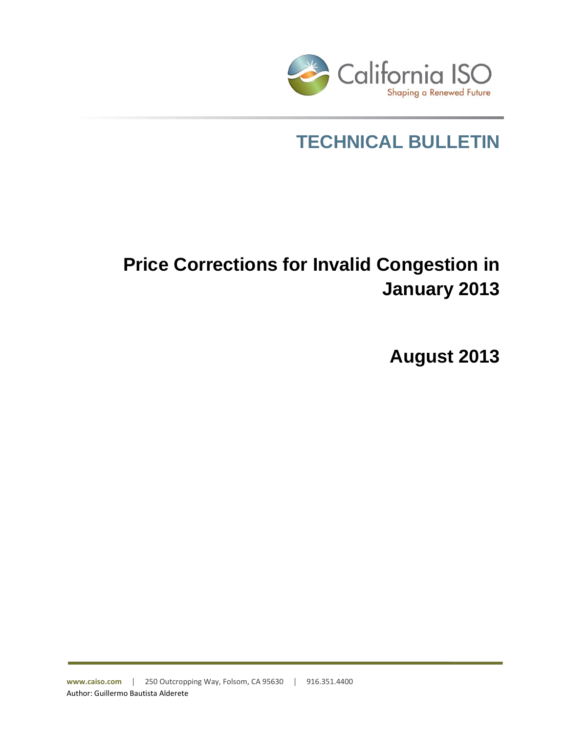

# **TECHNICAL BULLETIN**

# **Price Corrections for Invalid Congestion in January 2013**

**August 2013**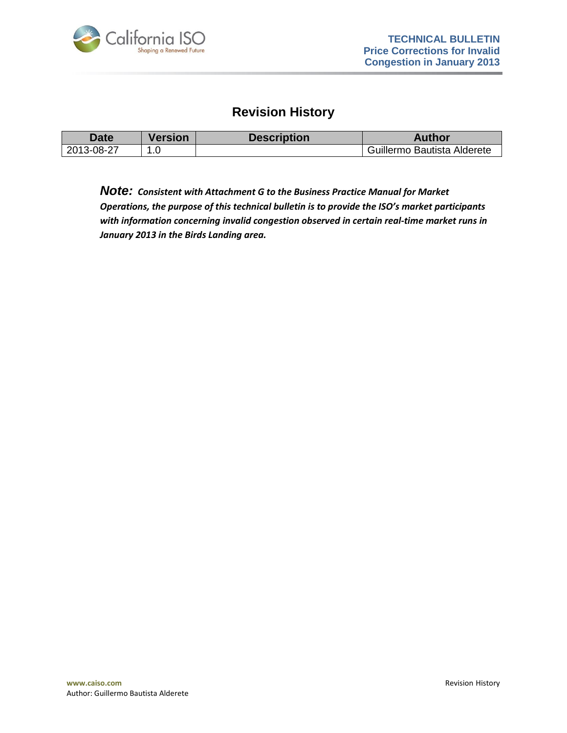

### **Revision History**

| Date       | <b>Version</b> | <b>Description</b> | Author                      |
|------------|----------------|--------------------|-----------------------------|
| 2013-08-27 | $\overline{ }$ |                    | Guillermo Bautista Alderete |

*Note: Consistent with Attachment G to the Business Practice Manual for Market Operations, the purpose of this technical bulletin is to provide the ISO's market participants with information concerning invalid congestion observed in certain real-time market runs in January 2013 in the Birds Landing area.*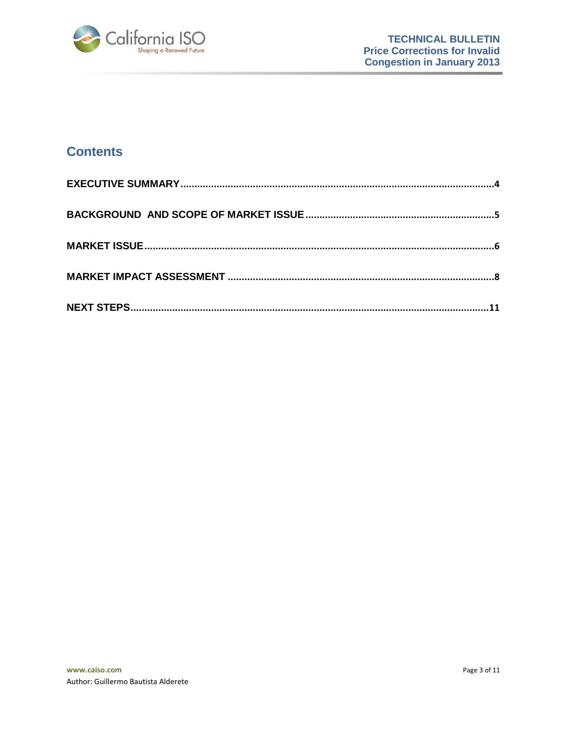

# **Contents**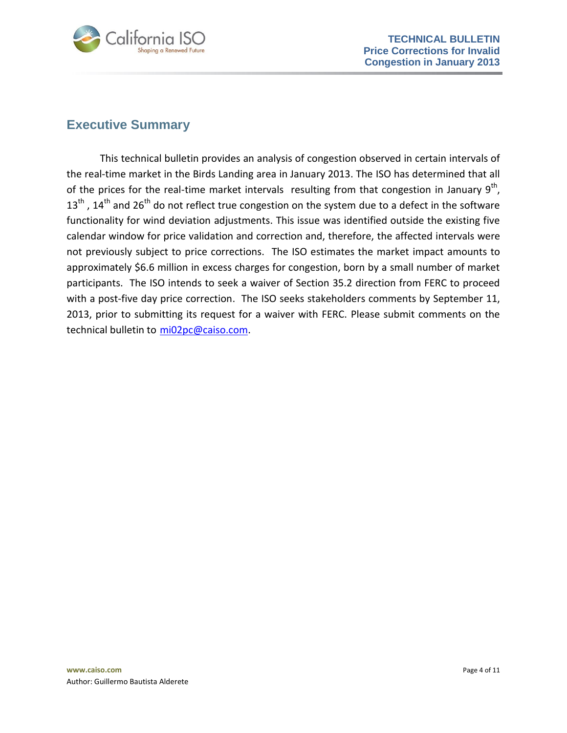

## <span id="page-3-0"></span>**Executive Summary**

This technical bulletin provides an analysis of congestion observed in certain intervals of the real-time market in the Birds Landing area in January 2013. The ISO has determined that all of the prices for the real-time market intervals resulting from that congestion in January  $9^{th}$ ,  $13<sup>th</sup>$ ,  $14<sup>th</sup>$  and  $26<sup>th</sup>$  do not reflect true congestion on the system due to a defect in the software functionality for wind deviation adjustments. This issue was identified outside the existing five calendar window for price validation and correction and, therefore, the affected intervals were not previously subject to price corrections. The ISO estimates the market impact amounts to approximately \$6.6 million in excess charges for congestion, born by a small number of market participants. The ISO intends to seek a waiver of Section 35.2 direction from FERC to proceed with a post-five day price correction. The ISO seeks stakeholders comments by September 11, 2013, prior to submitting its request for a waiver with FERC. Please submit comments on the technical bulletin to [mi02pc@caiso.com.](mailto:mi02pc@caiso.com)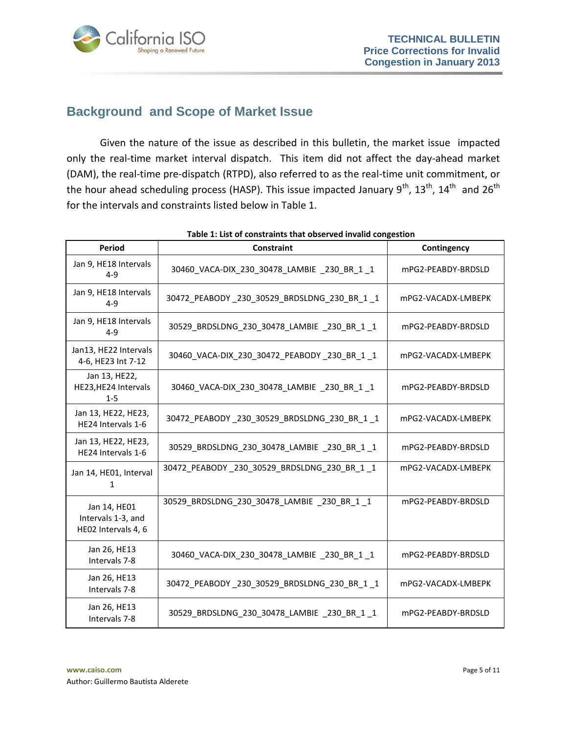

# <span id="page-4-0"></span>**Background and Scope of Market Issue**

Given the nature of the issue as described in this bulletin, the market issue impacted only the real-time market interval dispatch. This item did not affect the day-ahead market (DAM), the real-time pre-dispatch (RTPD), also referred to as the real-time unit commitment, or the hour ahead scheduling process (HASP). This issue impacted January  $9^{th}$ ,  $13^{th}$ ,  $14^{th}$  and  $26^{th}$ for the intervals and constraints listed below in Table 1.

| Period                                                    | <b>Constraint</b>                            | Contingency        |
|-----------------------------------------------------------|----------------------------------------------|--------------------|
| Jan 9, HE18 Intervals<br>$4 - 9$                          | 30460_VACA-DIX_230_30478_LAMBIE _230_BR_1 _1 | mPG2-PEABDY-BRDSLD |
| Jan 9, HE18 Intervals<br>$4 - 9$                          | 30472_PEABODY_230_30529_BRDSLDNG_230_BR_1 _1 | mPG2-VACADX-LMBEPK |
| Jan 9, HE18 Intervals<br>$4 - 9$                          | 30529_BRDSLDNG_230_30478_LAMBIE _230_BR_1 _1 | mPG2-PEABDY-BRDSLD |
| Jan13, HE22 Intervals<br>4-6, HE23 Int 7-12               | 30460_VACA-DIX_230_30472_PEABODY_230_BR_1_1  | mPG2-VACADX-LMBEPK |
| Jan 13, HE22,<br>HE23, HE24 Intervals<br>$1 - 5$          | 30460_VACA-DIX_230_30478_LAMBIE _230_BR_1 _1 | mPG2-PEABDY-BRDSLD |
| Jan 13, HE22, HE23,<br>HE24 Intervals 1-6                 | 30472_PEABODY_230_30529_BRDSLDNG_230_BR_1 _1 | mPG2-VACADX-LMBEPK |
| Jan 13, HE22, HE23,<br>HE24 Intervals 1-6                 | 30529 BRDSLDNG 230 30478 LAMBIE 230 BR 1 1   | mPG2-PEABDY-BRDSLD |
| Jan 14, HE01, Interval<br>1                               | 30472_PEABODY_230_30529_BRDSLDNG_230_BR_1 _1 | mPG2-VACADX-LMBEPK |
| Jan 14, HE01<br>Intervals 1-3, and<br>HE02 Intervals 4, 6 | 30529 BRDSLDNG 230 30478 LAMBIE 230 BR 1 1   | mPG2-PEABDY-BRDSLD |
| Jan 26, HE13<br>Intervals 7-8                             | 30460_VACA-DIX_230_30478_LAMBIE _230_BR_1 _1 | mPG2-PEABDY-BRDSLD |
| Jan 26, HE13<br>Intervals 7-8                             | 30472_PEABODY_230_30529_BRDSLDNG_230_BR_1 _1 | mPG2-VACADX-LMBEPK |
| Jan 26, HE13<br>Intervals 7-8                             | 30529 BRDSLDNG 230 30478 LAMBIE 230 BR 1 1   | mPG2-PEABDY-BRDSLD |

**Table 1: List of constraints that observed invalid congestion**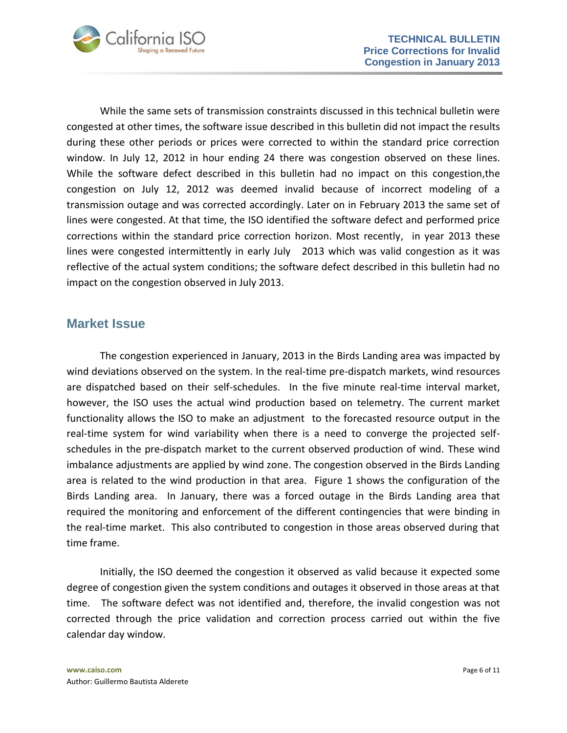

While the same sets of transmission constraints discussed in this technical bulletin were congested at other times, the software issue described in this bulletin did not impact the results during these other periods or prices were corrected to within the standard price correction window. In July 12, 2012 in hour ending 24 there was congestion observed on these lines. While the software defect described in this bulletin had no impact on this congestion,the congestion on July 12, 2012 was deemed invalid because of incorrect modeling of a transmission outage and was corrected accordingly. Later on in February 2013 the same set of lines were congested. At that time, the ISO identified the software defect and performed price corrections within the standard price correction horizon. Most recently, in year 2013 these lines were congested intermittently in early July 2013 which was valid congestion as it was reflective of the actual system conditions; the software defect described in this bulletin had no impact on the congestion observed in July 2013.

#### <span id="page-5-0"></span>**Market Issue**

The congestion experienced in January, 2013 in the Birds Landing area was impacted by wind deviations observed on the system. In the real-time pre-dispatch markets, wind resources are dispatched based on their self-schedules. In the five minute real-time interval market, however, the ISO uses the actual wind production based on telemetry. The current market functionality allows the ISO to make an adjustment to the forecasted resource output in the real-time system for wind variability when there is a need to converge the projected selfschedules in the pre-dispatch market to the current observed production of wind. These wind imbalance adjustments are applied by wind zone. The congestion observed in the Birds Landing area is related to the wind production in that area. Figure 1 shows the configuration of the Birds Landing area. In January, there was a forced outage in the Birds Landing area that required the monitoring and enforcement of the different contingencies that were binding in the real-time market. This also contributed to congestion in those areas observed during that time frame.

Initially, the ISO deemed the congestion it observed as valid because it expected some degree of congestion given the system conditions and outages it observed in those areas at that time. The software defect was not identified and, therefore, the invalid congestion was not corrected through the price validation and correction process carried out within the five calendar day window.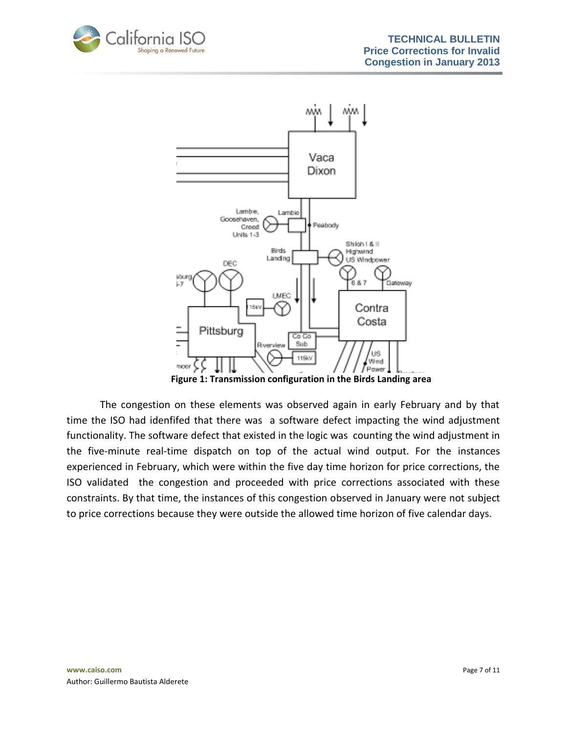



**Figure 1: Transmission configuration in the Birds Landing area**

The congestion on these elements was observed again in early February and by that time the ISO had idenfifed that there was a software defect impacting the wind adjustment functionality. The software defect that existed in the logic was counting the wind adjustment in the five-minute real-time dispatch on top of the actual wind output. For the instances experienced in February, which were within the five day time horizon for price corrections, the ISO validated the congestion and proceeded with price corrections associated with these constraints. By that time, the instances of this congestion observed in January were not subject to price corrections because they were outside the allowed time horizon of five calendar days.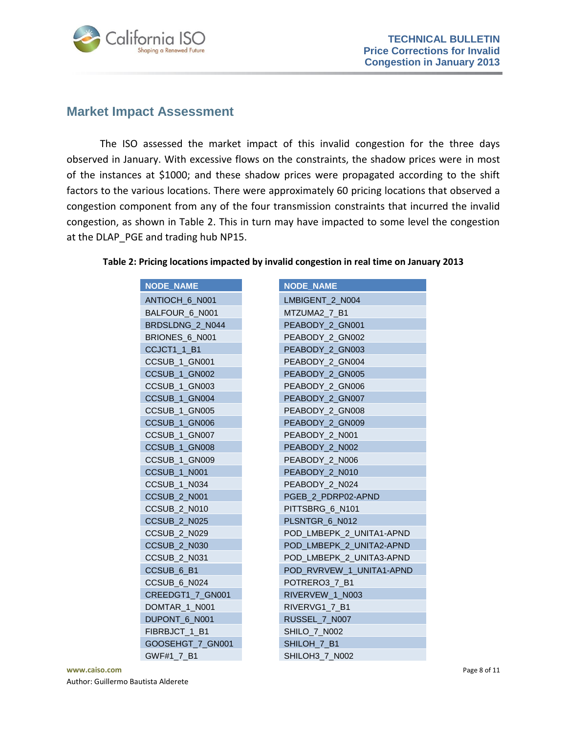

### <span id="page-7-0"></span>**Market Impact Assessment**

The ISO assessed the market impact of this invalid congestion for the three days observed in January. With excessive flows on the constraints, the shadow prices were in most of the instances at \$1000; and these shadow prices were propagated according to the shift factors to the various locations. There were approximately 60 pricing locations that observed a congestion component from any of the four transmission constraints that incurred the invalid congestion, as shown in Table 2. This in turn may have impacted to some level the congestion at the DLAP PGE and trading hub NP15.

| <b>NODE_NAME</b>        | <b>NODE NAME</b>         |
|-------------------------|--------------------------|
| ANTIOCH 6 N001          | LMBIGENT 2 N004          |
| BALFOUR 6 N001          | MTZUMA2 7 B1             |
| BRDSLDNG_2_N044         | PEABODY_2_GN001          |
| BRIONES 6 N001          | PEABODY 2 GN002          |
| CCJCT1 1 B1             | PEABODY 2 GN003          |
| CCSUB 1 GN001           | PEABODY 2_GN004          |
| CCSUB_1_GN002           | PEABODY 2 GN005          |
| CCSUB_1_GN003           | PEABODY 2 GN006          |
| CCSUB_1_GN004           | PEABODY 2 GN007          |
| CCSUB_1_GN005           | PEABODY 2_GN008          |
| CCSUB 1 GN006           | PEABODY 2 GN009          |
| CCSUB_1_GN007           | PEABODY 2 N001           |
| CCSUB_1_GN008           | PEABODY_2_N002           |
| CCSUB_1_GN009           | PEABODY 2 N006           |
| CCSUB_1_N001            | PEABODY 2 N010           |
| CCSUB_1_N034            | PEABODY_2_N024           |
| CCSUB <sub>2</sub> N001 | PGEB 2 PDRP02-APND       |
| <b>CCSUB_2_N010</b>     | PITTSBRG 6 N101          |
| CCSUB <sub>2</sub> N025 | PLSNTGR 6 N012           |
| CCSUB 2 N029            | POD LMBEPK 2 UNITA1-APND |
| CCSUB 2 N030            | POD LMBEPK 2 UNITA2-APND |
| CCSUB 2 N031            | POD LMBEPK 2 UNITA3-APND |
| CCSUB 6 B1              | POD RVRVEW 1 UNITA1-APND |
| CCSUB 6 N024            | POTRERO3 7 B1            |
| CREEDGT1 7 GN001        | RIVERVEW 1 N003          |
| DOMTAR 1 N001           | RIVERVG1 7 B1            |
| DUPONT 6 N001           | RUSSEL 7 N007            |
| FIBRBJCT 1 B1           | SHILO_7_N002             |
| GOOSEHGT 7 GN001        | SHILOH 7 B1              |
| GWF#1 7 B1              | SHILOH3 7 N002           |

#### **Table 2: Pricing locations impacted by invalid congestion in real time on January 2013**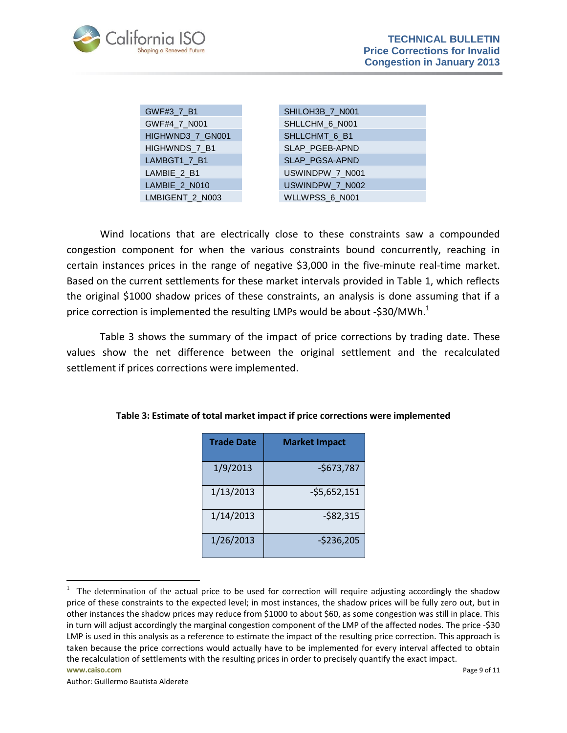

| GWF#3_7_B1       | SHILOH3B_7_N001 |
|------------------|-----------------|
| GWF#4_7_N001     | SHLLCHM 6 N001  |
| HIGHWND3_7_GN001 | SHLLCHMT 6 B1   |
| HIGHWNDS_7_B1    | SLAP_PGEB-APND  |
| LAMBGT1 7 B1     | SLAP_PGSA-APND  |
| LAMBIE 2 B1      | USWINDPW_7_N001 |
| LAMBIE 2 N010    | USWINDPW_7_N002 |
| LMBIGENT 2 N003  | WLLWPSS_6_N001  |

| SHILOH3B 7 N001 |
|-----------------|
| SHLLCHM 6 N001  |
| SHLLCHMT 6 B1   |
| SLAP PGEB-APND  |
| SLAP_PGSA-APND  |
| USWINDPW 7 N001 |
| USWINDPW 7 N002 |
| WLLWPSS 6 N001  |

Wind locations that are electrically close to these constraints saw a compounded congestion component for when the various constraints bound concurrently, reaching in certain instances prices in the range of negative \$3,000 in the five-minute real-time market. Based on the current settlements for these market intervals provided in Table 1, which reflects the original \$1000 shadow prices of these constraints, an analysis is done assuming that if a price correction is implemented the resulting LMPs would be about -\$30/MWh.<sup>1</sup>

Table 3 shows the summary of the impact of price corrections by trading date. These values show the net difference between the original settlement and the recalculated settlement if prices corrections were implemented.

| <b>Trade Date</b> | <b>Market Impact</b> |
|-------------------|----------------------|
| 1/9/2013          | $-5673,787$          |
| 1/13/2013         | $-55,652,151$        |
| 1/14/2013         | $-582,315$           |
| 1/26/2013         | $-5236,205$          |

**Table 3: Estimate of total market impact if price corrections were implemented**

l

 $1$  The determination of the actual price to be used for correction will require adjusting accordingly the shadow price of these constraints to the expected level; in most instances, the shadow prices will be fully zero out, but in other instances the shadow prices may reduce from \$1000 to about \$60, as some congestion was still in place. This in turn will adjust accordingly the marginal congestion component of the LMP of the affected nodes. The price -\$30 LMP is used in this analysis as a reference to estimate the impact of the resulting price correction. This approach is taken because the price corrections would actually have to be implemented for every interval affected to obtain the recalculation of settlements with the resulting prices in order to precisely quantify the exact impact.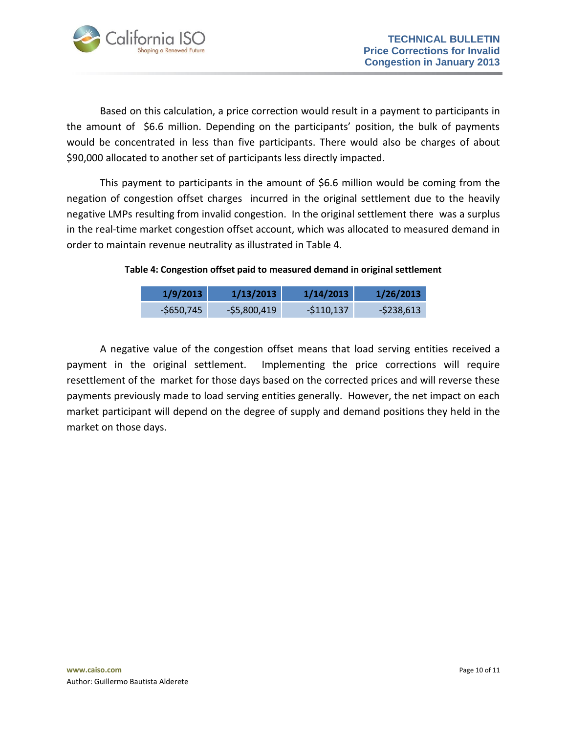

Based on this calculation, a price correction would result in a payment to participants in the amount of \$6.6 million. Depending on the participants' position, the bulk of payments would be concentrated in less than five participants. There would also be charges of about \$90,000 allocated to another set of participants less directly impacted.

This payment to participants in the amount of \$6.6 million would be coming from the negation of congestion offset charges incurred in the original settlement due to the heavily negative LMPs resulting from invalid congestion. In the original settlement there was a surplus in the real-time market congestion offset account, which was allocated to measured demand in order to maintain revenue neutrality as illustrated in Table 4.

#### **Table 4: Congestion offset paid to measured demand in original settlement**

| 1/9/2013    | 1/13/2013    | 1/14/2013  | 1/26/2013     |
|-------------|--------------|------------|---------------|
| $-5650,745$ | -\$5,800,419 | -\$110,137 | $-$ \$238,613 |

A negative value of the congestion offset means that load serving entities received a payment in the original settlement. Implementing the price corrections will require resettlement of the market for those days based on the corrected prices and will reverse these payments previously made to load serving entities generally. However, the net impact on each market participant will depend on the degree of supply and demand positions they held in the market on those days.